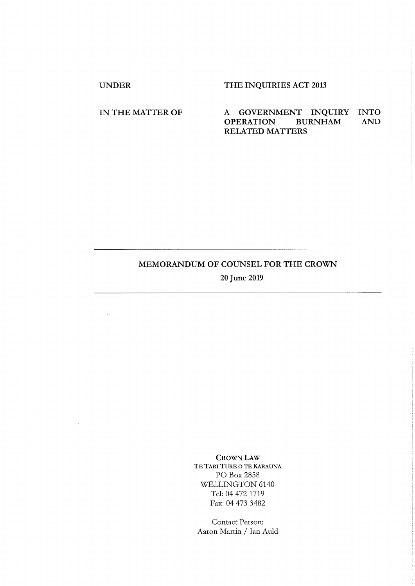$\mathcal{A}$ 

 $\mathcal{L}_{\mathcal{A}}$ 

# UNDER THE INQUIRIES ACT 2013

# IN THE MATTER OF A GOVERNMENT INQUIRY INTO OPERATION BURNHAM AND OPERATION BURNHAM AND RELATED MATTERS

# MEMORANDUM OF COUNSEL FOR THE CROWN

20 June 2019

CROWN LAW TE TARI TURE O TE KARAUNA PO Box 2858 WELLINGTON 6140 Tel: 04 472 1719 Fax: 04 473 3482

Contact Person: Aaron Martin / Ian Auld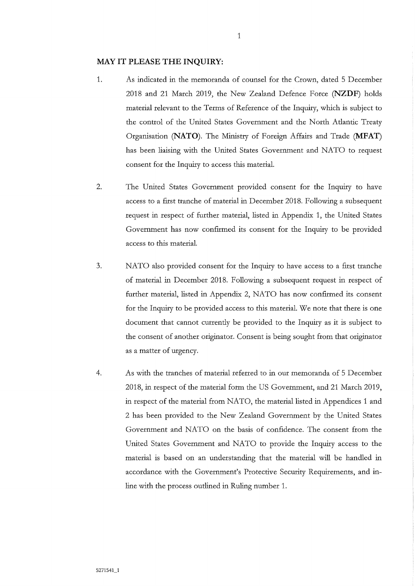### **MAY IT PLEASE THE INQUIRY:**

- 1. As indicated in the memoranda of counsel for the Crown, dated 5 December 2018 and 21 March 2019, the New Zealand Defence Force (NZDF) holds material relevant to the Terms of Reference of the Inquiry, which is subject to the control of the United States Government and the North Atlantic Treaty Organisation (NATO). The Ministry of Foreign Affairs and Trade (MFAT) has been liaising with the United States Government and NATO to request consent for the Inquiry to access this material.
- 2. The United States Government provided consent for the Inquiry to have access to a first tranche of material in December 2018. Following a subsequent request in respect of further material, listed in Appendix 1, the United States Government has now confirmed its consent for the Inquiry to be provided access to this material.
- 3. NATO also provided consent for the Inquiiy to have access to a first tranche of material in December 2018. Following a subsequent request in respect of further material, listed in Appendix 2, NATO has now confirmed its consent for the Inquiry to be provided access to this material. We note that there is one document that cannot currently be provided to the Inquiry as it is subject to the consent of another originator. Consent is being sought from that originator as a matter of urgency.
- 4. As with the tranches of material referred to in our memoranda of 5 December 2018, in respect of the material form the US Government, and 21 March 2019, in respect of the material from NATO, the material listed in Appendices 1 and 2 has been provided to the New Zealand Government by the United States Government and NATO on the basis of confidence. The consent from the United States Government and NATO to provide the Inquity access to the material is based on an understanding that the material will be handled in accordance with the Government's Protective Security Requirements, and inline with the process outlined in Ruling number 1.